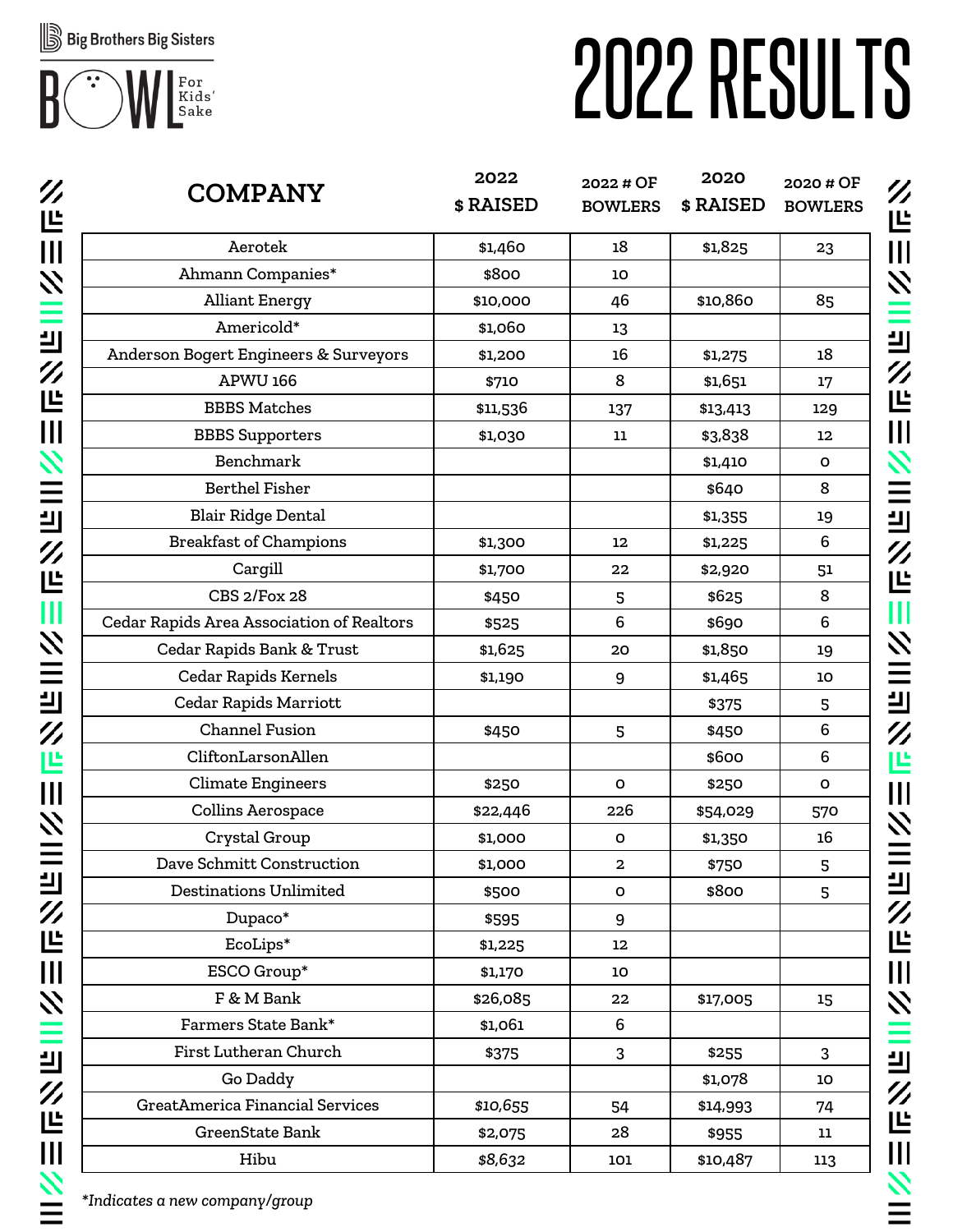

# 2022RESULTS

| $\boldsymbol{Z}$<br>世 | <b>COMPANY</b>                            | 2022<br>\$RAISED | 2022 # OF<br><b>BOWLERS</b> | 2020<br>\$RAISED | 2020 # OF<br><b>BOWLERS</b> |
|-----------------------|-------------------------------------------|------------------|-----------------------------|------------------|-----------------------------|
| $\mathbf{III}$        | Aerotek                                   | \$1,460          | 18                          | \$1,825          | 23                          |
| $\boldsymbol{z}$      | Ahmann Companies*                         | \$800            | 10                          |                  |                             |
|                       | <b>Alliant Energy</b>                     | \$10,000         | 46                          | \$10,860         | 85                          |
| Ξ                     | Americold*                                | \$1,060          | 13                          |                  |                             |
| 븨                     | Anderson Bogert Engineers & Surveyors     | \$1,200          | 16                          | \$1,275          | 18                          |
| $\mathscr{U}$         | <b>APWU 166</b>                           | \$710            | 8                           | \$1,651          | 17                          |
| 世                     | <b>BBBS Matches</b>                       | \$11,536         | 137                         | \$13,413         | 129                         |
| $\mathbf{III}$        | <b>BBBS</b> Supporters                    | \$1,030          | 11                          | \$3,838          | 12                          |
| $\boldsymbol{z}$      | Benchmark                                 |                  |                             | \$1,410          | O                           |
| $\equiv$              | <b>Berthel Fisher</b>                     |                  |                             | \$640            | 8                           |
| 븨                     | <b>Blair Ridge Dental</b>                 |                  |                             | \$1,355          | 19                          |
|                       | <b>Breakfast of Champions</b>             | \$1,300          | 12                          | \$1,225          | 6                           |
| $\mathscr{V}$         | Cargill                                   | \$1,700          | 22                          | \$2,920          | 51                          |
| 些                     | <b>CBS 2/Fox 28</b>                       | \$450            | 5                           | \$625            | 8                           |
| Ш                     | Cedar Rapids Area Association of Realtors | \$525            | 6                           | \$690            | 6                           |
| $\boldsymbol{z}$      | Cedar Rapids Bank & Trust                 | \$1,625          | 20                          | \$1,850          | 19                          |
| $\equiv$              | Cedar Rapids Kernels                      | \$1,190          | 9                           | \$1,465          | 10                          |
| 븨                     | <b>Cedar Rapids Marriott</b>              |                  |                             | \$375            | 5                           |
| $\mathscr{V}$         | <b>Channel Fusion</b>                     | \$450            | 5                           | \$450            | 6                           |
| 凹                     | CliftonLarsonAllen                        |                  |                             | \$600            | 6                           |
|                       | <b>Climate Engineers</b>                  | \$250            | $\mathbf{o}$                | \$250            | $\mathbf{o}$                |
| $\mathbf{III}$        | Collins Aerospace                         | \$22,446         | 226                         | \$54,029         | 570                         |
| $\boldsymbol{z}$      | Crystal Group                             | \$1,000          | O                           | \$1,350          | 16                          |
|                       | Dave Schmitt Construction                 | \$1,000          | $\mathbf{2}$                | \$750            | 5                           |
| ╝                     | Destinations Unlimited                    | \$500            | O                           | \$800            | 5                           |
| $\mathscr{V}$         | Dupaco*                                   | \$595            | 9                           |                  |                             |
| 些                     | EcoLips*                                  | \$1,225          | 12 <sub>2</sub>             |                  |                             |
| $\prod_{i=1}^{n}$     | ESCO Group*                               | \$1,170          | 10                          |                  |                             |
| $\boldsymbol{z}$      | F & M Bank                                | \$26,085         | 22                          | \$17,005         | 15                          |
| Ξ                     | Farmers State Bank*                       | \$1,061          | 6                           |                  |                             |
|                       | First Lutheran Church                     | \$375            | 3                           | \$255            | 3                           |
| ╝                     | Go Daddy                                  |                  |                             | \$1,078          | 10                          |
| $\mathscr{U}$         | GreatAmerica Financial Services           | \$10,655         | 54                          | \$14,993         | 74                          |
| 世                     | GreenState Bank                           | \$2,075          | 28                          | \$955            | 11                          |
| $\mathbf{III}$        | Hibu                                      | \$8,632          | 101                         | \$10,487         | 113                         |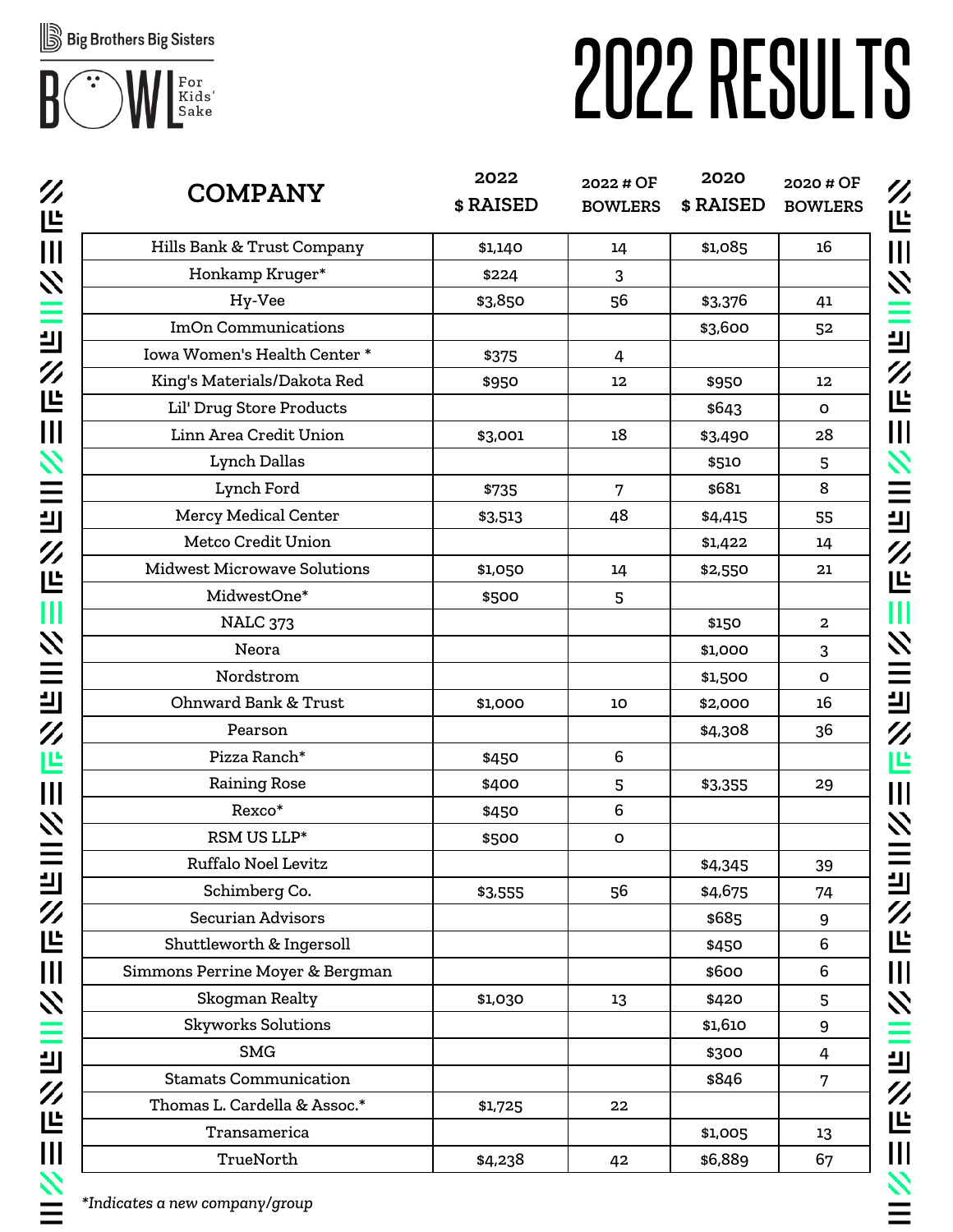

# 2022RESULTS

| $\boldsymbol{Z}$<br>世                                                                 | <b>COMPANY</b>                  | 2022<br>\$RAISED | 2022 # OF<br><b>BOWLERS</b> | 2020<br>\$RAISED | 2020 # OF<br><b>BOWLERS</b> |
|---------------------------------------------------------------------------------------|---------------------------------|------------------|-----------------------------|------------------|-----------------------------|
| $\mathbf{III}$                                                                        | Hills Bank & Trust Company      | \$1,140          | 14                          | \$1,085          | 16                          |
| $\boldsymbol{z}$                                                                      | Honkamp Kruger*                 | \$224            | 3                           |                  |                             |
|                                                                                       | Hy-Vee                          | \$3,850          | 56                          | \$3,376          | 41                          |
|                                                                                       | <b>ImOn Communications</b>      |                  |                             | \$3,600          | 52                          |
| 凹                                                                                     | Iowa Women's Health Center *    | \$375            | 4                           |                  |                             |
| $\mathscr{U}$                                                                         | King's Materials/Dakota Red     | \$950            | 12                          | \$950            | $12 \,$                     |
| 世                                                                                     | Lil' Drug Store Products        |                  |                             | \$643            | O                           |
| $\mathbf{III}$                                                                        | Linn Area Credit Union          | \$3,001          | 18                          | \$3,490          | 28                          |
| $\boldsymbol{z}$                                                                      | <b>Lynch Dallas</b>             |                  |                             | \$510            | 5                           |
| $\equiv$                                                                              | Lynch Ford                      | \$735            | $7\overline{ }$             | \$681            | 8                           |
| 凹                                                                                     | Mercy Medical Center            | \$3,513          | 48                          | \$4,415          | 55                          |
|                                                                                       | Metco Credit Union              |                  |                             | \$1,422          | 14                          |
| $^{\prime\prime}$                                                                     | Midwest Microwave Solutions     | \$1,050          | 14                          | \$2,550          | 21                          |
| 世                                                                                     | MidwestOne*                     | \$500            | 5                           |                  |                             |
| Ш                                                                                     | <b>NALC 373</b>                 |                  |                             | \$150            | $\overline{2}$              |
|                                                                                       | Neora                           |                  |                             | \$1,000          | 3                           |
| <b>NIII</b>                                                                           | Nordstrom                       |                  |                             | \$1,500          | $\mathsf{o}$                |
| 凹                                                                                     | <b>Ohnward Bank &amp; Trust</b> | \$1,000          | 10                          | \$2,000          | 16                          |
| $\mathscr{V}$                                                                         | Pearson                         |                  |                             | \$4,308          | 36                          |
| 쁘                                                                                     | Pizza Ranch*                    | \$450            | 6                           |                  |                             |
|                                                                                       | <b>Raining Rose</b>             | \$400            | 5                           | \$3,355          | 29                          |
| $\mathbf{III}$                                                                        | Rexco*                          | \$450            | 6                           |                  |                             |
| $\boldsymbol{z}$                                                                      | RSM US LLP*                     | \$500            | $\mathbf O$                 |                  |                             |
|                                                                                       | Ruffalo Noel Levitz             |                  |                             | \$4,345          | 39                          |
| ╝                                                                                     | Schimberg Co.                   | \$3,555          | 56                          | \$4,675          | 74                          |
| $\boldsymbol{Z}$                                                                      | Securian Advisors               |                  |                             | \$685            | 9                           |
| 些                                                                                     | Shuttleworth & Ingersoll        |                  |                             | \$450            | 6                           |
| $\begin{array}{c} \hline \rule{0pt}{2ex} \\[-1mm] \hline \rule{0pt}{2ex} \end{array}$ | Simmons Perrine Moyer & Bergman |                  |                             | \$600            | 6                           |
| $\boldsymbol{z}$                                                                      | Skogman Realty                  | \$1,030          | 13                          | \$420            | 5                           |
|                                                                                       | <b>Skyworks Solutions</b>       |                  |                             | \$1,610          | 9                           |
| 目                                                                                     | <b>SMG</b>                      |                  |                             | \$300            | 4                           |
|                                                                                       | <b>Stamats Communication</b>    |                  |                             | \$846            | 7                           |
| $\mathscr{U}$                                                                         | Thomas L. Cardella & Assoc.*    | \$1,725          | 22                          |                  |                             |
| 世                                                                                     | Transamerica                    |                  |                             | \$1,005          | 13                          |
| $\mathbf{III}$                                                                        | TrueNorth                       | \$4,238          | 42                          | \$6,889          | 67                          |